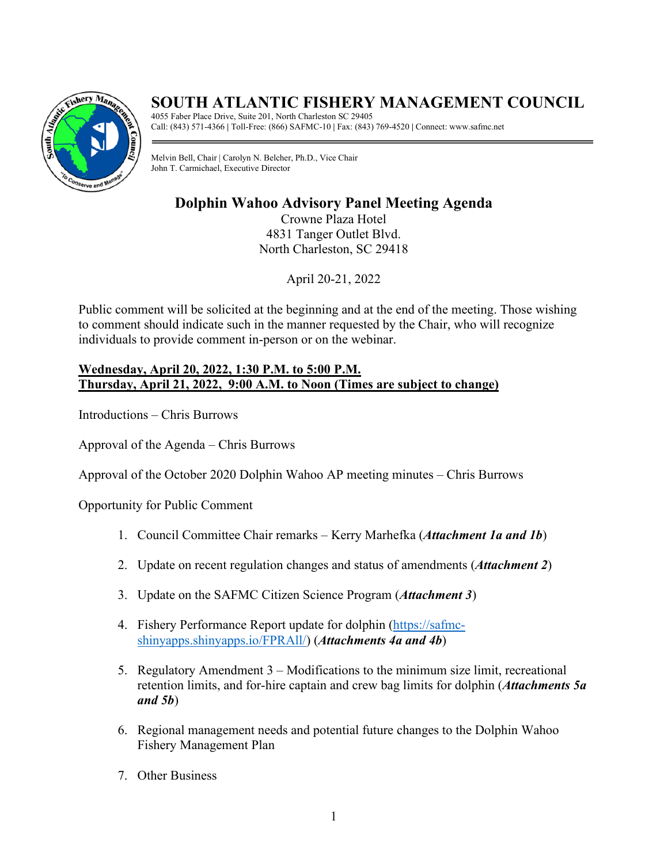

# **SOUTH ATLANTIC FISHERY MANAGEMENT COUNCIL**

4055 Faber Place Drive, Suite 201, North Charleston SC 29405 Call: (843) 571-4366 **|** Toll-Free: (866) SAFMC-10 **|** Fax: (843) 769-4520 **|** Connect: www.safmc.net

Melvin Bell, Chair | Carolyn N. Belcher, Ph.D., Vice Chair John T. Carmichael, Executive Director

# **Dolphin Wahoo Advisory Panel Meeting Agenda**

Crowne Plaza Hotel 4831 Tanger Outlet Blvd. North Charleston, SC 29418

April 20-21, 2022

Public comment will be solicited at the beginning and at the end of the meeting. Those wishing to comment should indicate such in the manner requested by the Chair, who will recognize individuals to provide comment in-person or on the webinar.

### **Wednesday, April 20, 2022, 1:30 P.M. to 5:00 P.M. Thursday, April 21, 2022, 9:00 A.M. to Noon (Times are subject to change)**

Introductions – Chris Burrows

Approval of the Agenda – Chris Burrows

Approval of the October 2020 Dolphin Wahoo AP meeting minutes – Chris Burrows

Opportunity for Public Comment

- 1. Council Committee Chair remarks Kerry Marhefka (*Attachment 1a and 1b*)
- 2. Update on recent regulation changes and status of amendments (*Attachment 2*)
- 3. Update on the SAFMC Citizen Science Program (*Attachment 3*)
- 4. Fishery Performance Report update for dolphin [\(https://safmc](https://safmc-shinyapps.shinyapps.io/FPRAll/)[shinyapps.shinyapps.io/FPRAll/\)](https://safmc-shinyapps.shinyapps.io/FPRAll/) (*Attachments 4a and 4b*)
- 5. Regulatory Amendment 3 Modifications to the minimum size limit, recreational retention limits, and for-hire captain and crew bag limits for dolphin (*Attachments 5a and 5b*)
- 6. Regional management needs and potential future changes to the Dolphin Wahoo Fishery Management Plan
- 7. Other Business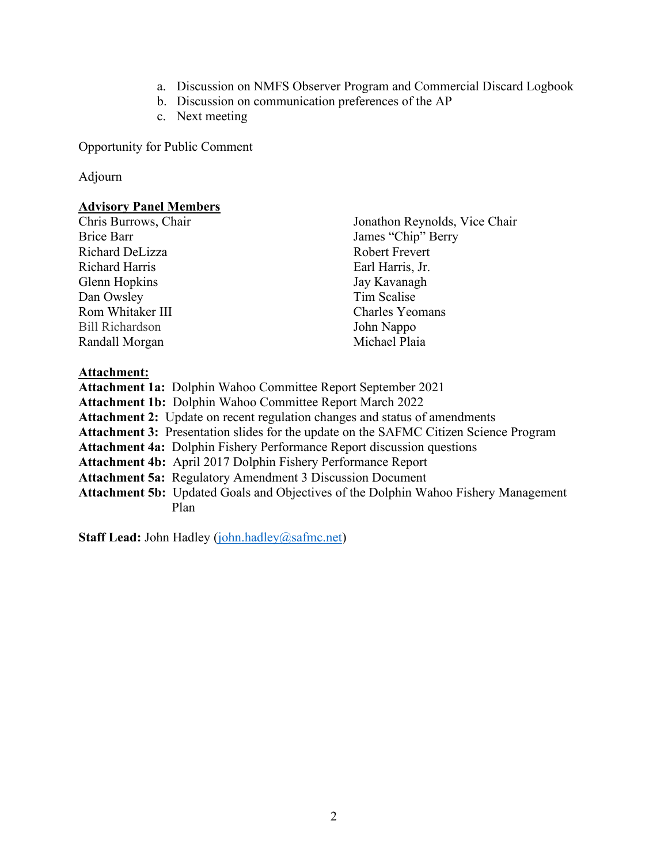- a. Discussion on NMFS Observer Program and Commercial Discard Logbook
- b. Discussion on communication preferences of the AP
- c. Next meeting

Opportunity for Public Comment

#### Adjourn

#### **Advisory Panel Members**

Brice Barr James "Chip" Berry Richard DeLizza Robert Frevert Richard Harris **Earl Harris**, Jr. Glenn Hopkins Jay Kavanagh Dan Owsley Tim Scalise Rom Whitaker III Charles Yeomans Bill Richardson John Nappo Randall Morgan Michael Plaia

Chris Burrows, Chair Jonathon Reynolds, Vice Chair

### **Attachment:**

**Attachment 1a:** Dolphin Wahoo Committee Report September 2021 **Attachment 1b:** Dolphin Wahoo Committee Report March 2022 **Attachment 2:** Update on recent regulation changes and status of amendments **Attachment 3:** Presentation slides for the update on the SAFMC Citizen Science Program **Attachment 4a:** Dolphin Fishery Performance Report discussion questions **Attachment 4b:** April 2017 Dolphin Fishery Performance Report **Attachment 5a:** Regulatory Amendment 3 Discussion Document **Attachment 5b:** Updated Goals and Objectives of the Dolphin Wahoo Fishery Management Plan

**Staff Lead:** John Hadley [\(john.hadley@safmc.net\)](mailto:john.hadley@safmc.net)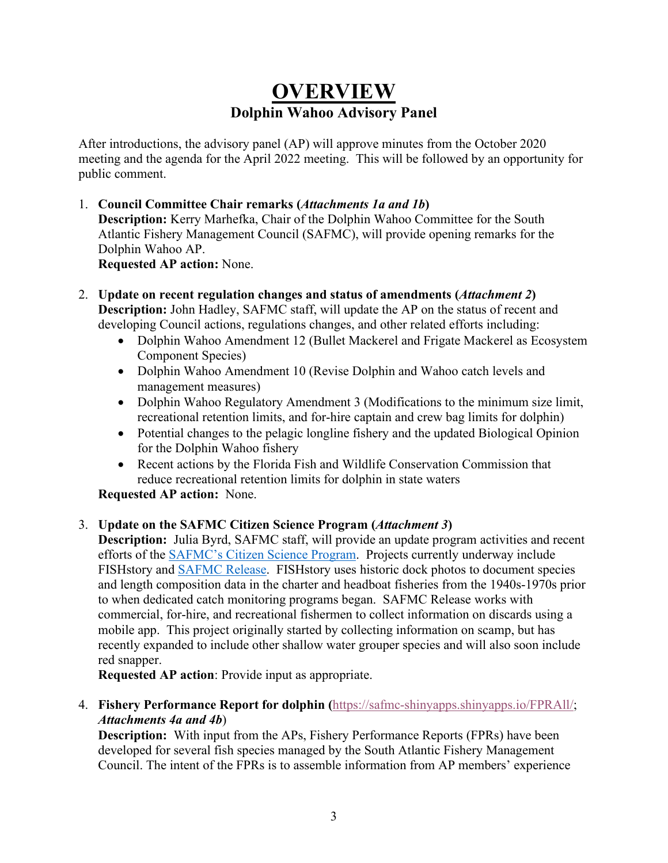# **OVERVIEW Dolphin Wahoo Advisory Panel**

After introductions, the advisory panel (AP) will approve minutes from the October 2020 meeting and the agenda for the April 2022 meeting. This will be followed by an opportunity for public comment.

- 1. **Council Committee Chair remarks (***Attachments 1a and 1b***) Description:** Kerry Marhefka, Chair of the Dolphin Wahoo Committee for the South Atlantic Fishery Management Council (SAFMC), will provide opening remarks for the Dolphin Wahoo AP. **Requested AP action:** None.
- 2. **Update on recent regulation changes and status of amendments (***Attachment 2***) Description:** John Hadley, SAFMC staff, will update the AP on the status of recent and developing Council actions, regulations changes, and other related efforts including:
	- Dolphin Wahoo Amendment 12 (Bullet Mackerel and Frigate Mackerel as Ecosystem Component Species)
	- Dolphin Wahoo Amendment 10 (Revise Dolphin and Wahoo catch levels and management measures)
	- Dolphin Wahoo Regulatory Amendment 3 (Modifications to the minimum size limit, recreational retention limits, and for-hire captain and crew bag limits for dolphin)
	- Potential changes to the pelagic longline fishery and the updated Biological Opinion for the Dolphin Wahoo fishery
	- Recent actions by the Florida Fish and Wildlife Conservation Commission that reduce recreational retention limits for dolphin in state waters

**Requested AP action:** None.

## 3. **Update on the SAFMC Citizen Science Program (***Attachment 3***)**

**Description:** Julia Byrd, SAFMC staff, will provide an update program activities and recent efforts of the [SAFMC's Citizen Science Program.](https://safmc.net/citizen-science-program/) Projects currently underway include FISHstory and [SAFMC Release.](https://safmc.net/cit-sci/safmcrelease/) FISHstory uses historic dock photos to document species and length composition data in the charter and headboat fisheries from the 1940s-1970s prior to when dedicated catch monitoring programs began. SAFMC Release works with commercial, for-hire, and recreational fishermen to collect information on discards using a mobile app. This project originally started by collecting information on scamp, but has recently expanded to include other shallow water grouper species and will also soon include red snapper.

**Requested AP action**: Provide input as appropriate.

4. **Fishery Performance Report for dolphin (**[https://safmc-shinyapps.shinyapps.io/FPRAll/;](https://safmc-shinyapps.shinyapps.io/FPRAll/) *Attachments 4a and 4b*)

**Description:** With input from the APs, Fishery Performance Reports (FPRs) have been developed for several fish species managed by the South Atlantic Fishery Management Council. The intent of the FPRs is to assemble information from AP members' experience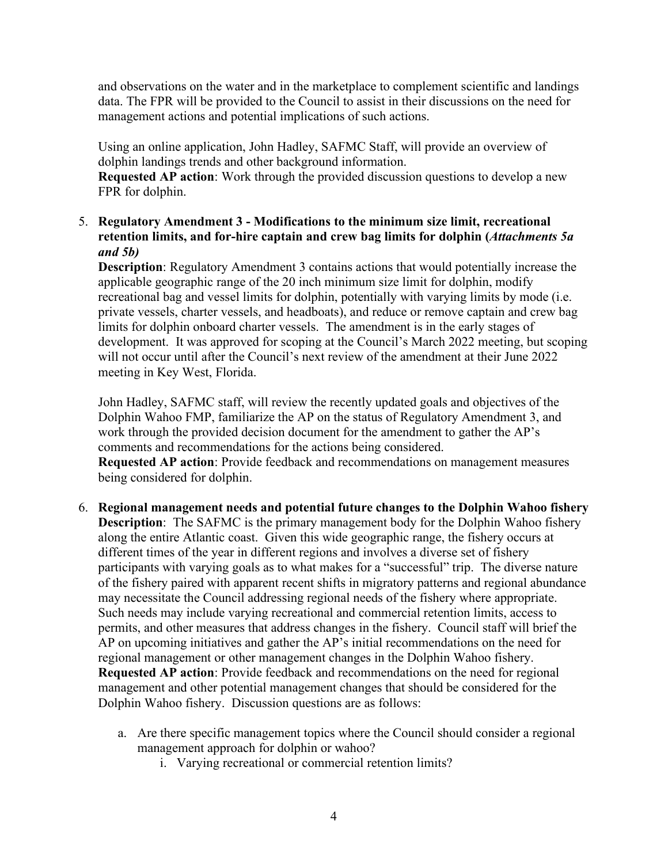and observations on the water and in the marketplace to complement scientific and landings data. The FPR will be provided to the Council to assist in their discussions on the need for management actions and potential implications of such actions.

Using an online application, John Hadley, SAFMC Staff, will provide an overview of dolphin landings trends and other background information.

**Requested AP action**: Work through the provided discussion questions to develop a new FPR for dolphin.

### 5. **Regulatory Amendment 3 - Modifications to the minimum size limit, recreational retention limits, and for-hire captain and crew bag limits for dolphin (***Attachments 5a and 5b)*

**Description**: Regulatory Amendment 3 contains actions that would potentially increase the applicable geographic range of the 20 inch minimum size limit for dolphin, modify recreational bag and vessel limits for dolphin, potentially with varying limits by mode (i.e. private vessels, charter vessels, and headboats), and reduce or remove captain and crew bag limits for dolphin onboard charter vessels. The amendment is in the early stages of development. It was approved for scoping at the Council's March 2022 meeting, but scoping will not occur until after the Council's next review of the amendment at their June 2022 meeting in Key West, Florida.

John Hadley, SAFMC staff, will review the recently updated goals and objectives of the Dolphin Wahoo FMP, familiarize the AP on the status of Regulatory Amendment 3, and work through the provided decision document for the amendment to gather the AP's comments and recommendations for the actions being considered. **Requested AP action**: Provide feedback and recommendations on management measures being considered for dolphin.

- 6. **Regional management needs and potential future changes to the Dolphin Wahoo fishery Description**: The SAFMC is the primary management body for the Dolphin Wahoo fishery along the entire Atlantic coast. Given this wide geographic range, the fishery occurs at different times of the year in different regions and involves a diverse set of fishery participants with varying goals as to what makes for a "successful" trip. The diverse nature of the fishery paired with apparent recent shifts in migratory patterns and regional abundance may necessitate the Council addressing regional needs of the fishery where appropriate. Such needs may include varying recreational and commercial retention limits, access to permits, and other measures that address changes in the fishery. Council staff will brief the AP on upcoming initiatives and gather the AP's initial recommendations on the need for regional management or other management changes in the Dolphin Wahoo fishery. **Requested AP action**: Provide feedback and recommendations on the need for regional management and other potential management changes that should be considered for the Dolphin Wahoo fishery. Discussion questions are as follows:
	- a. Are there specific management topics where the Council should consider a regional management approach for dolphin or wahoo?
		- i. Varying recreational or commercial retention limits?